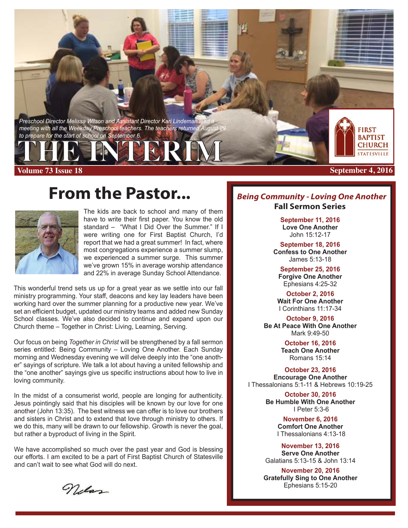**Preschool Director Melissa Wilson and Assistant Director Kari Lindeman** *meeting with all the Weekday Preschool teachers. The teachers returned Au to prepare for the start of school on September 6.*

# **THE INTERIM**

**Volume 73 Issue 18 September 4, 2016**

### **From the Pastor...**



The kids are back to school and many of them have to write their first paper. You know the old standard – "What I Did Over the Summer." If I were writing one for First Baptist Church, I'd report that we had a great summer! In fact, where most congregations experience a summer slump, we experienced a summer surge. This summer we've grown 15% in average worship attendance and 22% in average Sunday School Attendance.

This wonderful trend sets us up for a great year as we settle into our fall ministry programming. Your staff, deacons and key lay leaders have been working hard over the summer planning for a productive new year. We've set an efficient budget, updated our ministry teams and added new Sunday School classes. We've also decided to continue and expand upon our Church theme – Together in Christ: Living, Learning, Serving.

Our focus on being *Together in Christ* will be strengthened by a fall sermon series entitled: Being Community – Loving One Another. Each Sunday morning and Wednesday evening we will delve deeply into the "one another" sayings of scripture. We talk a lot about having a united fellowship and the "one another" sayings give us specific instructions about how to live in loving community.

In the midst of a consumerist world, people are longing for authenticity. Jesus pointingly said that his disciples will be known by our love for one another (John 13:35). The best witness we can offer is to love our brothers and sisters in Christ and to extend that love through ministry to others. If we do this, many will be drawn to our fellowship. Growth is never the goal, but rather a byproduct of living in the Spirit.

We have accomplished so much over the past year and God is blessing our efforts. I am excited to be a part of First Baptist Church of Statesville and can't wait to see what God will do next.

*Being Community - Loving One Another* **Fall Sermon Series** 

**FIRST BAPTIST CHURCH** 

**September 11, 2016 Love One Another** John 15:12-17

**September 18, 2016 Confess to One Another** James 5:13-18

**September 25, 2016 Forgive One Another** Ephesians 4:25-32

**October 2, 2016 Wait For One Another** I Corinthians 11:17-34

**October 9, 2016 Be At Peace With One Another** Mark 9:49-50

> **October 16, 2016 Teach One Another** Romans 15:14

**October 23, 2016 Encourage One Another** I Thessalonians 5:1-11 & Hebrews 10:19-25

> **October 30, 2016 Be Humble With One Another** I Peter 5:3-6

> > **November 6, 2016 Comfort One Another** I Thessalonians 4:13-18

**November 13, 2016 Serve One Another** Galatians 5:13-15 & John 13:14

**November 20, 2016 Gratefully Sing to One Another** Ephesians 5:15-20

Nelss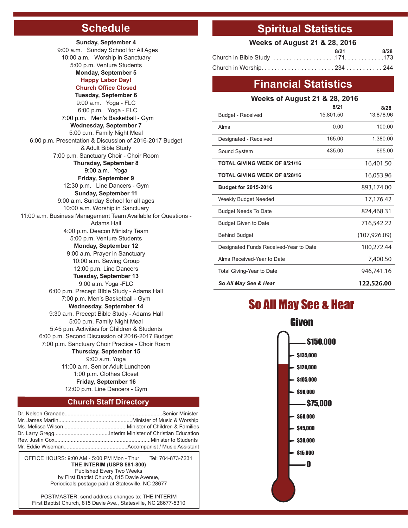### **Schedule**

**Sunday, September 4** 9:00 a.m. Sunday School for All Ages 10:00 a.m. Worship in Sanctuary 5:00 p.m. Venture Students **Monday, September 5 Happy Labor Day! Church Office Closed Tuesday, September 6** 9:00 a.m. Yoga - FLC 6:00 p.m. Yoga - FLC 7:00 p.m. Men's Basketball - Gym **Wednesday, September 7** 5:00 p.m. Family Night Meal 6:00 p.m. Presentation & Discussion of 2016-2017 Budget & Adult Bible Study 7:00 p.m. Sanctuary Choir - Choir Room **Thursday, September 8** 9:00 a.m. Yoga **Friday, September 9** 12:30 p.m. Line Dancers - Gym **Sunday, September 11** 9:00 a.m. Sunday School for all ages 10:00 a.m. Worship in Sanctuary 11:00 a.m. Business Management Team Available for Questions - Adams Hall 4:00 p.m. Deacon Ministry Team 5:00 p.m. Venture Students **Monday, September 12** 9:00 a.m. Prayer in Sanctuary 10:00 a.m. Sewing Group 12:00 p.m. Line Dancers **Tuesday, September 13** 9:00 a.m. Yoga -FLC 6:00 p.m. Precept BIble Study - Adams Hall 7:00 p.m. Men's Basketball - Gym **Wednesday, September 14** 9:30 a.m. Precept Bible Study - Adams Hall 5:00 p.m. Family Night Meal 5:45 p.m. Activities for Children & Students 6:00 p.m. Second Discussion of 2016-2017 Budget 7:00 p.m. Sanctuary Choir Practice - Choir Room **Thursday, September 15** 9:00 a.m. Yoga 11:00 a.m. Senior Adult Luncheon 1:00 p.m. Clothes Closet **Friday, September 16** 12:00 p.m. Line Dancers - Gym

#### **Church Staff Directory**

OFFICE HOURS: 9:00 AM - 5:00 PM Mon - Thur Tel: 704-873-7231 **THE INTERIM (USPS 581-800)** Published Every Two Weeks by First Baptist Church, 815 Davie Avenue, Periodicals postage paid at Statesville, NC 28677

POSTMASTER: send address changes to: THE INTERIM First Baptist Church, 815 Davie Ave., Statesville, NC 28677-5310

#### **Spiritual Statistics**

| <b>Weeks of August 21 &amp; 28, 2016</b> |      |      |  |
|------------------------------------------|------|------|--|
|                                          | 8/21 | 8/28 |  |
|                                          |      |      |  |
|                                          |      |      |  |

#### **Financial Statistics**

| <b>Weeks of August 21 &amp; 28, 2016</b> |           |               |  |  |
|------------------------------------------|-----------|---------------|--|--|
|                                          | 8/21      | 8/28          |  |  |
| <b>Budget - Received</b>                 | 15,801.50 | 13,878.96     |  |  |
| Alms                                     | 0.00      | 100.00        |  |  |
| Designated - Received                    | 165.00    | 1,380.00      |  |  |
| Sound System                             | 435.00    | 695.00        |  |  |
| <b>TOTAL GIVING WEEK OF 8/21/16</b>      |           | 16,401.50     |  |  |
| <b>TOTAL GIVING WEEK OF 8/28/16</b>      |           | 16,053.96     |  |  |
| <b>Budget for 2015-2016</b>              |           | 893,174.00    |  |  |
| Weekly Budget Needed                     |           | 17,176.42     |  |  |
| <b>Budget Needs To Date</b>              |           | 824,468.31    |  |  |
| <b>Budget Given to Date</b>              |           | 716,542.22    |  |  |
| <b>Behind Budget</b>                     |           | (107, 926.09) |  |  |
| Designated Funds Received-Year to Date   |           | 100,272.44    |  |  |
| Alms Received-Year to Date               |           | 7,400.50      |  |  |
| Total Giving-Year to Date                |           | 946,741.16    |  |  |
| So All May See & Hear                    |           | 122,526.00    |  |  |

### So All May See & Hear

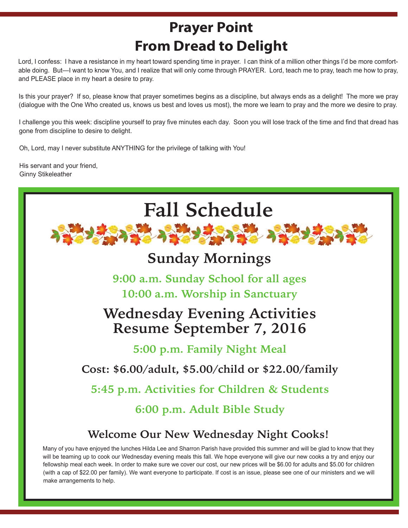## **Prayer Point From Dread to Delight**

Lord, I confess: I have a resistance in my heart toward spending time in prayer. I can think of a million other things I'd be more comfortable doing. But—I want to know You, and I realize that will only come through PRAYER. Lord, teach me to pray, teach me how to pray, and PLEASE place in my heart a desire to pray.

Is this your prayer? If so, please know that prayer sometimes begins as a discipline, but always ends as a delight! The more we pray (dialogue with the One Who created us, knows us best and loves us most), the more we learn to pray and the more we desire to pray.

I challenge you this week: discipline yourself to pray five minutes each day. Soon you will lose track of the time and find that dread has gone from discipline to desire to delight.

Oh, Lord, may I never substitute ANYTHING for the privilege of talking with You!

His servant and your friend, Ginny Stikeleather

j.